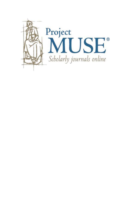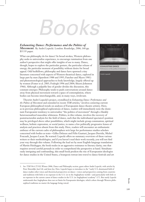## *Books*

## *Exhausting Dance: Performance and the Politics of*

*Movement.* By André Lepecki*.* London: Routledge, 2006; 160 pp. \$35.95 paper.

What can philosophy do for dance? In broad strokes, Western philosophy seeks to universalize experience, to encourage rumination from one author's perspective that might offer insights of use to many. Dance, though, hopes to explore the particular gesture, the particular release of energy, the particular moment of possibility without desire for broad appeal. Odd bedfellows, philosophy and dance have spawned a tiny literature concerned with aspects of Western theatrical dance, explored in large part by men (Sparshott 1988 and 1995; Fancher and Myers 1981) and phenomenological approaches to body knowledge, largely offered up by women (Foster et al. 2005; Fraleigh 1996 and 2004; Sheets-Johnston 1966). Although a palpable line of gender divides the discussion, this constant emerges: Philosophy tends to push conversations around dance away from physical movement toward a space of contemplation, where bodies can become interchangeable, and, in many ways, irrelevant.



Performance and the politics of movement

André Lepecki

Theorist André Lepecki's project, crystallized in *Exhausting Dance: Performance and the Politics of Movement* and extended in recent *TDR* articles,<sup>1</sup> involves centering current European philosophical trends on analyses of Europeanist dance theatre artistry. Here, as in previous philosophical explorations of dance, readers will immediately note the dominant Europeanist tendency to universalize "the politics of movement" through a blankly heterosexualized masculine whiteness. Politics, in this volume, involves the recovery of poststructuralist analysis for the field of dance, such that the individuated spectator's position may be privileged above other possibilities, which might include group communion, spiritual wellness, holistic expression, or social justice, to name a few politically progressive lenses of analysis and practices absent from this study. Here, readers will encounter an enthusiastic embrace of the current cadre of philosophers writ large for performance studies scholars concerned with bodies as texts—Gilles Deleuze and Félix Guattari, Jacques Derrida, Michel Foucault, Jacques Lacan. Be warned: Lepecki offers no summary overviews of these various writers or their methodologies, and if you haven't read their work recently, you will not find your way through this volume. Following the lead set by most English-language translations of Martin Heidegger, the book trades in an aggressive resistance to literary clarity, one that requires several careful perusals in order to comprehend the perspective at hand. Simultaneously intriguing and confounding, this small book predicts the rise of Europeanist ideologies for dance studies in the United States, a bourgeois retreat into travel to dance festivals and art

<sup>1.</sup> See *TDR* 50:4 (T192) Winter 2006, Dance and Philosophy section, guest editor André Lepecki, with articles by Peter Sloterdijk, José Gil, and Jenn Joy. Here, Lepecki hopes to introduce to the "vastly U.S.-dominated field of dance studies other voices and theoretical perspectives on dance—voices and perspectives coming from countries and traditions with little or no exposure in the U.S. (or in the Anglophone world)—and particularly with little or no exposure in the current canon of dance studies in the U.S. (or Anglophone) academy" (17). But surely Lepecki understands that Anglophone does not set limits for Europeanist ideologies, which cohere through Western philosophical traditions no matter the language being voiced.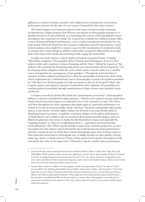galleries as a standard of dance research, $^2$  and a displacement of progressive minoritarian performance practices for the sake of a new canon of (unmarked) white dance artistry.<sup>3</sup>

The book intrigues in its historical analysis of the terms of motion within modernity. An introductory chapter proposes that Western conceptions of choreography emerged as "a peculiar invention of early modernity, as a technology that creates a body disciplined to move according to the commands of writing" (6). Lepecki then rethinks how stillness in dance offers a way to foreground being in performance, a way to resist contemporary proclivities for constant motion effectively bound up with concepts of subjection and self-imprisonment. A goal in these analyses, then, might be to reopen a space for the consideration of modernity's ends; to consider how a body onstage in stillness could enable unexpected subjectivities in an open field of the future where bodies do something beside engage the melancholic.

In eight case-study analyses, Lepecki deploys divergent conceptual frames. A chapter "Masculinity, Solipsism, Choreography: Bruce Nauman, Juan Dominguez, Xavier Le Roy" explores white male creativity in terms of haunting and the "idiot," defined by Lepecki as "the isolated, self-contained one fantasizing subjectivity as an autonomously self-moving being" (33). In critiquing idiotic solipsism within the work of these artists, Lepecki reifies it as a valuable source of inspiration for contemporary choreographies: "Through the particular kind of intensely formless solipsism performed by Le Roy the dismantling of modernity's idiotic body and its replacement by a relational body renews choreography as practice for political potentiality" (44). But as we all choreograph our daily encounters in the era of George W. Bush, who is surely a prime contemporary exponent of masculinist white solipsism, the possibilities for enabling political potentiality through considerations of dance theatre seem detached, ironic, and flaccid.

A chapter on works by Jérôme Bel claims that "paronomastic movement"—choreographed stillness or slowness intensified through repetition—"dissolves the temporal tyranny modernity's being-toward-movement imposes on subjectivity for it to be constantly on time" (63). Here, and often throughout the book, arguments that might apply to a particular performance are written as if to be of universal insight. Surely "slowness" functions contingently within performance, as any devotee of butoh might confirm, but all butoh is not equivalently useful in dissolving temporal tyrannies. A mightily overwritten chapter on the gallery performances of Trisha Brown and La Ribot trades in excessively dense poststructuralist jargon, even as it effectively ghettoizes the women as fodder for the theorization of space and especially the "toppling of plane" to "allow for nonphallogocentric [...] spatialities and noncolonialist territorializations" (68). While Lepecki intends to argue from a feminist perspective, he does not explain how this chapter coheres beyond the fact of his having seen these performances, and then considered ways in which these women choreograph space. How do these artists or these particular performances choreograph race, or ability, location or class, gender, velocity, status, age, desire, or family memory? None of these prisms feed Lepecki's ruminations on the horizontal; thus, they do not appear here. Ultimately, Lepecki considers dance performance

<sup>2.</sup> Lepecki built this project around performances he attended in Berlin, Lisbon, London, New York, Paris, and Philadelphia. While Lepecki wonders aloud at the significance of work "whose spectatorship will always be limited to the few attending European international dance festivals" (112), the volume constructs its hypotheses from these events and effectively limits experiential responses to this work to the handful of dance scholars in the United States who attend the international dance festival circuit.

<sup>3.</sup> Lepecki claims a desire "to address the choreographic outside the proper limits of dance" in order to "create new possibilities for thinking relationships between bodies, subjectivities, politics, and movements" (5) but then looks only to a tiny cohort of European and North American performance artists, each of whom proclaims an affinity with Western philosophical traditions. What might have been produced had Lepecki looked beyond the boundaries of individuated Western theatrical dance, to spaces where choreography is not predicated on separations of performers from audiences? How then could a study of the politics of movement actually inspire politicized responses?